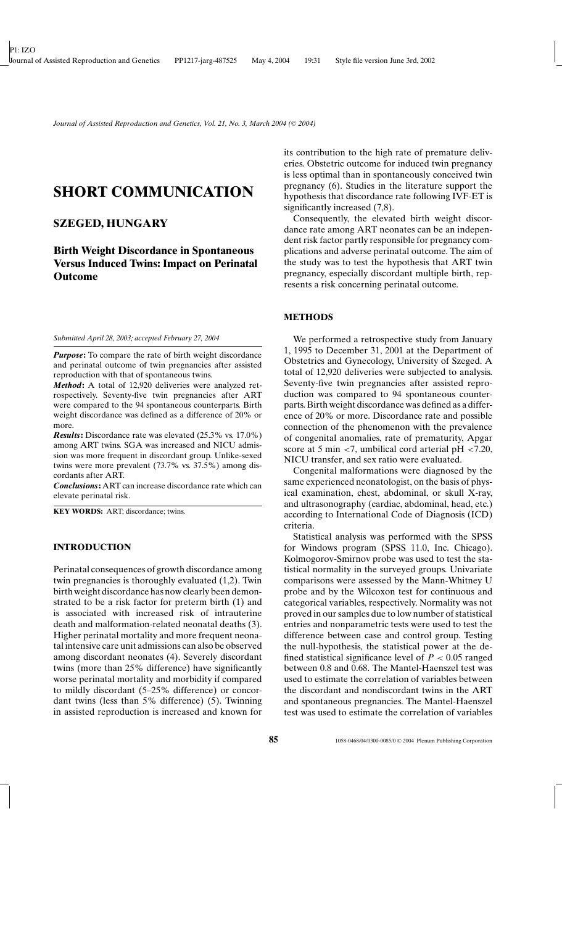# **SHORT COMMUNICATION**

# **SZEGED, HUNGARY**

**Birth Weight Discordance in Spontaneous Versus Induced Twins: Impact on Perinatal Outcome**

*Submitted April 28, 2003; accepted February 27, 2004*

*Purpose*: To compare the rate of birth weight discordance and perinatal outcome of twin pregnancies after assisted reproduction with that of spontaneous twins.

*Method***:** A total of 12,920 deliveries were analyzed retrospectively. Seventy-five twin pregnancies after ART were compared to the 94 spontaneous counterparts. Birth weight discordance was defined as a difference of 20% or more.

*Results***:** Discordance rate was elevated (25.3% vs. 17.0%) among ART twins. SGA was increased and NICU admission was more frequent in discordant group. Unlike-sexed twins were more prevalent (73.7% vs. 37.5%) among discordants after ART.

*Conclusions***:** ART can increase discordance rate which can elevate perinatal risk.

**KEY WORDS:** ART; discordance; twins.

### **INTRODUCTION**

Perinatal consequences of growth discordance among twin pregnancies is thoroughly evaluated (1,2). Twin birth weight discordance has now clearly been demonstrated to be a risk factor for preterm birth (1) and is associated with increased risk of intrauterine death and malformation-related neonatal deaths (3). Higher perinatal mortality and more frequent neonatal intensive care unit admissions can also be observed among discordant neonates (4). Severely discordant twins (more than 25% difference) have significantly worse perinatal mortality and morbidity if compared to mildly discordant (5–25% difference) or concordant twins (less than 5% difference) (5). Twinning in assisted reproduction is increased and known for its contribution to the high rate of premature deliveries. Obstetric outcome for induced twin pregnancy is less optimal than in spontaneously conceived twin pregnancy (6). Studies in the literature support the hypothesis that discordance rate following IVF-ET is significantly increased  $(7,8)$ .

Consequently, the elevated birth weight discordance rate among ART neonates can be an independent risk factor partly responsible for pregnancy complications and adverse perinatal outcome. The aim of the study was to test the hypothesis that ART twin pregnancy, especially discordant multiple birth, represents a risk concerning perinatal outcome.

## **METHODS**

We performed a retrospective study from January 1, 1995 to December 31, 2001 at the Department of Obstetrics and Gynecology, University of Szeged. A total of 12,920 deliveries were subjected to analysis. Seventy-five twin pregnancies after assisted reproduction was compared to 94 spontaneous counterparts. Birth weight discordance was defined as a difference of 20% or more. Discordance rate and possible connection of the phenomenon with the prevalence of congenital anomalies, rate of prematurity, Apgar score at 5 min  $\langle 7$ , umbilical cord arterial pH  $\langle 7.20,$ NICU transfer, and sex ratio were evaluated.

Congenital malformations were diagnosed by the same experienced neonatologist, on the basis of physical examination, chest, abdominal, or skull X-ray, and ultrasonography (cardiac, abdominal, head, etc.) according to International Code of Diagnosis (ICD) criteria.

Statistical analysis was performed with the SPSS for Windows program (SPSS 11.0, Inc. Chicago). Kolmogorov-Smirnov probe was used to test the statistical normality in the surveyed groups. Univariate comparisons were assessed by the Mann-Whitney U probe and by the Wilcoxon test for continuous and categorical variables, respectively. Normality was not proved in our samples due to low number of statistical entries and nonparametric tests were used to test the difference between case and control group. Testing the null-hypothesis, the statistical power at the defined statistical significance level of  $P < 0.05$  ranged between 0.8 and 0.68. The Mantel-Haenszel test was used to estimate the correlation of variables between the discordant and nondiscordant twins in the ART and spontaneous pregnancies. The Mantel-Haenszel test was used to estimate the correlation of variables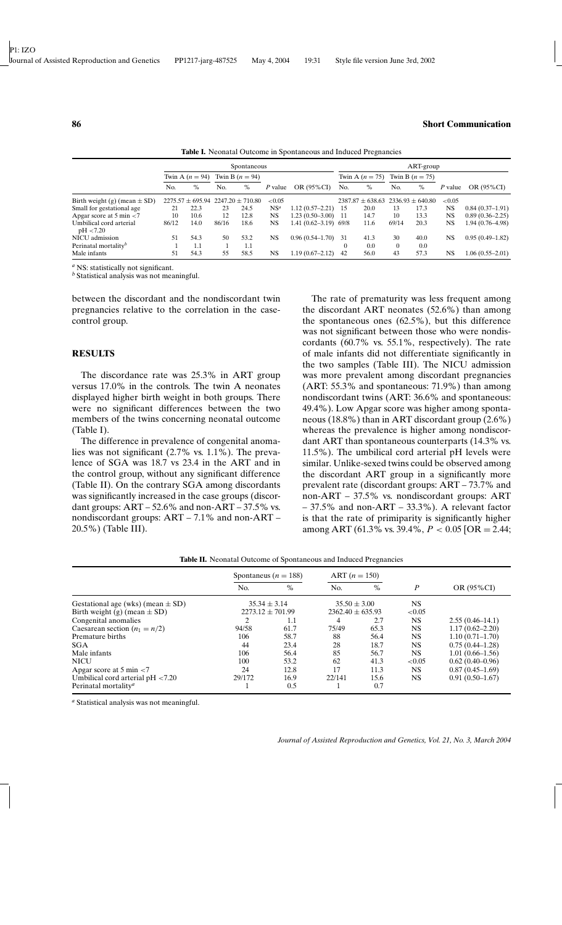|                                      | Spontaneous       |      |                   |                                           |                 |                          |     | ART-group                                 |          |                   |           |                     |  |  |  |
|--------------------------------------|-------------------|------|-------------------|-------------------------------------------|-----------------|--------------------------|-----|-------------------------------------------|----------|-------------------|-----------|---------------------|--|--|--|
|                                      | Twin A $(n = 94)$ |      | Twin B $(n = 94)$ |                                           |                 |                          |     | Twin A $(n = 75)$                         |          | Twin B $(n = 75)$ |           |                     |  |  |  |
|                                      | No.               | $\%$ | No.               | $\%$                                      | P value         | OR (95%CI)               | No. | $\%$                                      | No.      | $\%$              | P value   | OR (95%CI)          |  |  |  |
| Birth weight (g) (mean $\pm$ SD)     |                   |      |                   | $2275.57 \pm 695.94$ 2247.20 $\pm$ 710.80 | < 0.05          |                          |     | $2387.87 \pm 638.63$ $2336.93 \pm 640.80$ |          |                   | ${<}0.05$ |                     |  |  |  |
| Small for gestational age            | 21                | 22.3 | 23                | 24.5                                      | NS <sup>a</sup> | $1.12(0.57-2.21)$        | 15  | 20.0                                      | 13       | 17.3              | <b>NS</b> | $0.84(0.37-1.91)$   |  |  |  |
| Apgar score at 5 min $<$ 7           | 10                | 10.6 | 12                | 12.8                                      | <b>NS</b>       | $1.23(0.50-3.00)$        | -11 | 14.7                                      | 10       | 13.3              | <b>NS</b> | $0.89(0.36 - 2.25)$ |  |  |  |
| Umbilical cord arterial<br>pH < 7.20 | 86/12             | 14.0 | 86/16             | 18.6                                      | <b>NS</b>       | $1.41(0.62 - 3.19)$ 69/8 |     | 11.6                                      | 69/14    | 20.3              | NS        | 1.94 (0.76–4.98)    |  |  |  |
| NICU admission                       | 51                | 54.3 | 50                | 53.2                                      | <b>NS</b>       | $0.96(0.54 - 1.70)$      | -31 | 41.3                                      | 30       | 40.0              | <b>NS</b> | $0.95(0.49-1.82)$   |  |  |  |
| Perinatal mortality <sup>b</sup>     |                   | 1.1  |                   | 1.1                                       |                 |                          |     | 0.0                                       | $\theta$ | 0.0               |           |                     |  |  |  |
| Male infants                         | 51                | 54.3 | 55                | 58.5                                      | <b>NS</b>       | $1.19(0.67 - 2.12)$      | 42  | 56.0                                      | 43       | 57.3              | <b>NS</b> | $1.06(0.55 - 2.01)$ |  |  |  |

**Table I.** Neonatal Outcome in Spontaneous and Induced Pregnancies

*<sup>a</sup>* NS: statistically not significant.

*<sup>b</sup>* Statistical analysis was not meaningful.

between the discordant and the nondiscordant twin pregnancies relative to the correlation in the casecontrol group.

#### **RESULTS**

The discordance rate was 25.3% in ART group versus 17.0% in the controls. The twin A neonates displayed higher birth weight in both groups. There were no significant differences between the two members of the twins concerning neonatal outcome (Table I).

The difference in prevalence of congenital anomalies was not significant (2.7% vs. 1.1%). The prevalence of SGA was 18.7 vs 23.4 in the ART and in the control group, without any significant difference (Table II). On the contrary SGA among discordants was significantly increased in the case groups (discordant groups:  $ART - 52.6\%$  and non- $ART - 37.5\%$  vs. nondiscordant groups: ART – 7.1% and non-ART – 20.5%) (Table III).

The rate of prematurity was less frequent among the discordant ART neonates (52.6%) than among the spontaneous ones (62.5%), but this difference was not significant between those who were nondiscordants (60.7% vs. 55.1%, respectively). The rate of male infants did not differentiate significantly in the two samples (Table III). The NICU admission was more prevalent among discordant pregnancies (ART: 55.3% and spontaneous: 71.9%) than among nondiscordant twins (ART: 36.6% and spontaneous: 49.4%). Low Apgar score was higher among spontaneous (18.8%) than in ART discordant group (2.6%) whereas the prevalence is higher among nondiscordant ART than spontaneous counterparts (14.3% vs. 11.5%). The umbilical cord arterial pH levels were similar. Unlike-sexed twins could be observed among the discordant ART group in a significantly more prevalent rate (discordant groups: ART – 73.7% and non-ART – 37.5% vs. nondiscordant groups: ART – 37.5% and non-ART – 33.3%). A relevant factor is that the rate of primiparity is significantly higher among ART (61.3% vs. 39.4%, *P* < 0.05 [OR = 2.44;

|                                         | Spontaneus ( $n = 188$ ) | $ART (n = 150)$      |                    |           |           |                     |  |  |  |  |
|-----------------------------------------|--------------------------|----------------------|--------------------|-----------|-----------|---------------------|--|--|--|--|
|                                         | No.                      | $\%$                 | No.                | $\%$      | P         | OR (95%CI)          |  |  |  |  |
| Gestational age (wks) (mean $\pm$ SD)   | $35.34 \pm 3.14$         | $35.50 \pm 3.00$     |                    | <b>NS</b> |           |                     |  |  |  |  |
| Birth weight (g) (mean $\pm$ SD)        |                          | $2273.12 \pm 701.99$ | $2362.40 + 635.93$ |           | ${<}0.05$ |                     |  |  |  |  |
| Congenital anomalies                    |                          | $1.1\,$              | 4                  | 2.7       | <b>NS</b> | $2.55(0.46-14.1)$   |  |  |  |  |
| Caesarean section $(n_1 = n/2)$         | 94/58                    | 61.7                 | 75/49              | 65.3      | <b>NS</b> | $1.17(0.62 - 2.20)$ |  |  |  |  |
| Premature births                        | 106                      | 58.7                 | 88                 | 56.4      | <b>NS</b> | $1.10(0.71 - 1.70)$ |  |  |  |  |
| <b>SGA</b>                              | 44                       | 23.4                 | 28                 | 18.7      | <b>NS</b> | $0.75(0.44 - 1.28)$ |  |  |  |  |
| Male infants                            | 106                      | 56.4                 | 85                 | 56.7      | <b>NS</b> | $1.01(0.66 - 1.56)$ |  |  |  |  |
| <b>NICU</b>                             | 100                      | 53.2                 | 62                 | 41.3      | ${<}0.05$ | $0.62(0.40-0.96)$   |  |  |  |  |
| Apgar score at 5 min $<$ 7              | 24                       | 12.8                 | 17                 | 11.3      | <b>NS</b> | $0.87(0.45-1.69)$   |  |  |  |  |
| Umbilical cord arterial $pH < 7.20$     | 29/172                   | 16.9                 | 22/141             | 15.6      | <b>NS</b> | $0.91(0.50-1.67)$   |  |  |  |  |
| Perinatal mortality <sup><i>a</i></sup> |                          | 0.5                  |                    | 0.7       |           |                     |  |  |  |  |

**Table II.** Neonatal Outcome of Spontaneous and Induced Pregnancies

*<sup>a</sup>* Statistical analysis was not meaningful.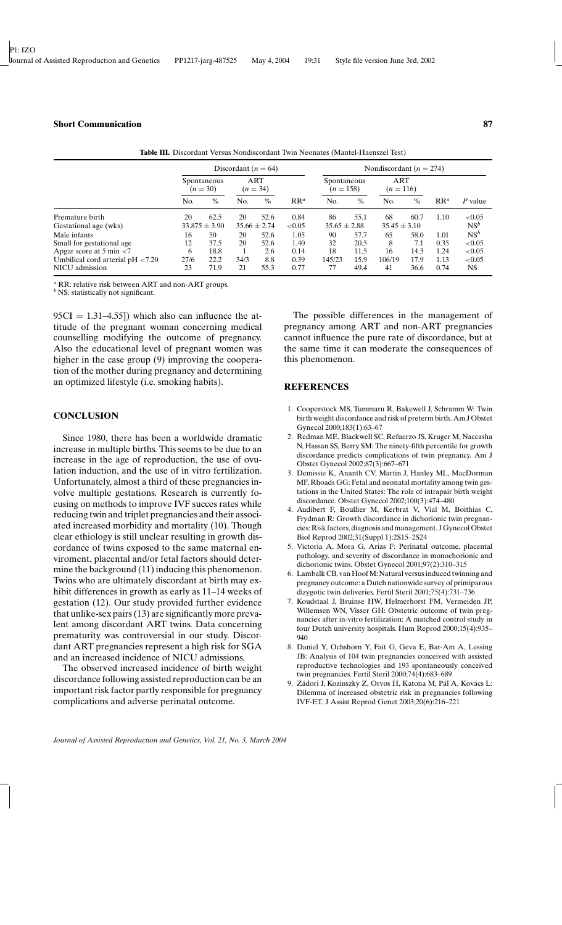|                                     |                           | Discordant ( $n = 64$ ) |                          | Nondiscordant ( $n = 274$ ) |           |                            |      |                    |      |        |                 |
|-------------------------------------|---------------------------|-------------------------|--------------------------|-----------------------------|-----------|----------------------------|------|--------------------|------|--------|-----------------|
|                                     | Spontaneous<br>$(n = 30)$ |                         | <b>ART</b><br>$(n = 34)$ |                             |           | Spontaneous<br>$(n = 158)$ |      | ART<br>$(n = 116)$ |      |        |                 |
|                                     | No.                       | $\%$                    | No.                      | $\%$                        | $RR^a$    | No.                        | $\%$ | No.                | $\%$ | $RR^a$ | P value         |
| Premature birth                     | 20                        | 62.5                    | 20                       | 52.6                        | 0.84      | 86                         | 55.1 | 68                 | 60.7 | 1.10   | < 0.05          |
| Gestational age (wks)               | $33.875 \pm 3.90$         |                         | $35.66 \pm 2.74$         |                             | ${<}0.05$ | $35.65 \pm 2.88$           |      | $35.45 \pm 3.10$   |      |        | $NS^b$          |
| Male infants                        | 16                        | 50                      | 20                       | 52.6                        | 1.05      | 90                         | 57.7 | 65                 | 58.0 | 1.01   | NS <sup>b</sup> |
| Small for gestational age           | 12                        | 37.5                    | 20                       | 52.6                        | 1.40      | 32                         | 20.5 | 8                  | 7.1  | 0.35   | ${<}0.05$       |
| Apgar score at 5 min $<$ 7          | 6                         | 18.8                    |                          | 2.6                         | 0.14      | 18                         | 11.5 | 16                 | 14.3 | 1.24   | < 0.05          |
| Umbilical cord arterial $pH < 7.20$ | 27/6                      | 22.2                    | 34/3                     | 8.8                         | 0.39      | 145/23                     | 15.9 | 106/19             | 17.9 | 1.13   | ${<}0.05$       |
| NICU admission                      | 23                        | 71.9                    | 21                       | 55.3                        | 0.77      | 77                         | 49.4 | 41                 | 36.6 | 0.74   | <b>NS</b>       |

**Table III.** Discordant Versus Nondiscordant Twin Neonates (Mantel-Haenszel Test)

*<sup>a</sup>* RR: relative risk between ART and non-ART groups.

*<sup>b</sup>* NS: statistically not significant.

 $95CI = 1.31-4.55$ ) which also can influence the attitude of the pregnant woman concerning medical counselling modifying the outcome of pregnancy. Also the educational level of pregnant women was higher in the case group (9) improving the cooperation of the mother during pregnancy and determining an optimized lifestyle (i.e. smoking habits).

## **CONCLUSION**

Since 1980, there has been a worldwide dramatic increase in multiple births. This seems to be due to an increase in the age of reproduction, the use of ovulation induction, and the use of in vitro fertilization. Unfortunately, almost a third of these pregnancies involve multiple gestations. Research is currently focusing on methods to improve IVF succes rates while reducing twin and triplet pregnancies and their associated increased morbidity and mortality (10). Though clear ethiology is still unclear resulting in growth discordance of twins exposed to the same maternal enviroment, placental and/or fetal factors should determine the background (11) inducing this phenomenon. Twins who are ultimately discordant at birth may exhibit differences in growth as early as 11–14 weeks of gestation (12). Our study provided further evidence that unlike-sex pairs (13) are significantly more prevalent among discordant ART twins. Data concerning prematurity was controversial in our study. Discordant ART pregnancies represent a high risk for SGA and an increased incidence of NICU admissions.

The observed increased incidence of birth weight discordance following assisted reproduction can be an important risk factor partly responsible for pregnancy complications and adverse perinatal outcome.

The possible differences in the management of pregnancy among ART and non-ART pregnancies cannot influence the pure rate of discordance, but at the same time it can moderate the consequences of this phenomenon.

#### **REFERENCES**

- 1. Cooperstock MS, Tummaru R, Bakewell J, Schramm W: Twin birth weight discordance and risk of preterm birth. Am J Obstet Gynecol 2000;183(1):63–67
- 2. Redman ME, Blackwell SC, Refuerzo JS, Kruger M, Naccasha N, Hassan SS, Berry SM: The ninety-fifth percentile for growth discordance predicts complications of twin pregnancy. Am J Obstet Gynecol 2002;87(3):667–671
- 3. Demissie K, Ananth CV, Martin J, Hanley ML, MacDorman MF, Rhoads GG: Fetal and neonatal mortality among twin gestations in the United States: The role of intrapair birth weight discordance. Obstet Gynecol 2002;100(3):474–480
- 4. Audibert F, Boullier M, Kerbrat V, Vial M, Boithias C, Frydman R: Growth discordance in dichorionic twin pregnancies: Risk factors, diagnosis and management. J Gynecol Obstet Biol Reprod 2002;31(Suppl 1):2S15–2S24
- 5. Victoria A, Mora G, Arias F: Perinatal outcome, placental pathology, and severity of discordance in monochorionic and dichorionic twins. Obstet Gynecol 2001;97(2):310–315
- 6. Lambalk CB, van Hoof M: Natural versus induced twinning and pregnancy outcome: a Dutch nationwide survey of primiparous dizygotic twin deliveries. Fertil Steril 2001;75(4):731–736
- 7. Koudstaal J, Bruinse HW, Helmerhorst FM, Vermeiden JP, Willemsen WN, Visser GH: Obstetric outcome of twin pregnancies after in-vitro fertilization: A matched control study in four Dutch university hospitals. Hum Reprod 2000;15(4):935– 940
- 8. Daniel Y, Ochshorn Y, Fait G, Geva E, Bar-Am A, Lessing JB: Analysis of 104 twin pregnancies conceived with assisted reproductive technologies and 193 spontaneously conceived twin pregnancies. Fertil Steril 2000;74(4):683–689
- 9. Zádori J, Kozinszky Z, Orvos H, Katona M, Pál A, Kovács L: Dilemma of increased obstetric risk in pregnancies following IVF-ET. J Assist Reprod Genet 2003;20(6):216–221